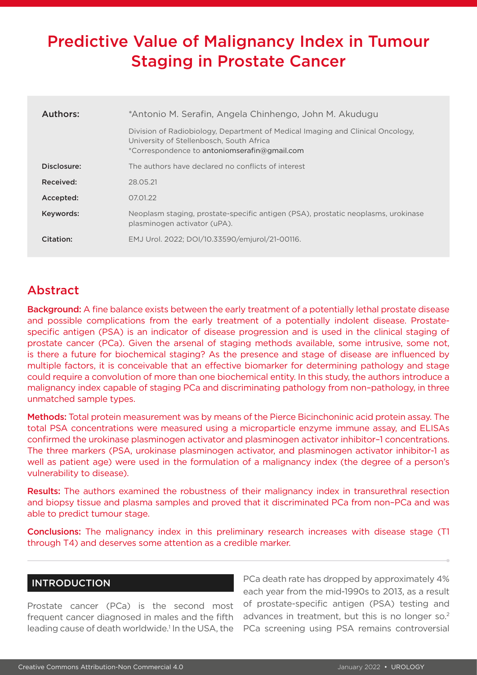# Predictive Value of Malignancy Index in Tumour Staging in Prostate Cancer

| Authors:    | *Antonio M. Serafin, Angela Chinhengo, John M. Akudugu                                                                                                                     |  |  |  |  |  |
|-------------|----------------------------------------------------------------------------------------------------------------------------------------------------------------------------|--|--|--|--|--|
|             | Division of Radiobiology, Department of Medical Imaging and Clinical Oncology,<br>University of Stellenbosch, South Africa<br>*Correspondence to antoniomserafin@gmail.com |  |  |  |  |  |
| Disclosure: | The authors have declared no conflicts of interest                                                                                                                         |  |  |  |  |  |
| Received:   | 28.05.21                                                                                                                                                                   |  |  |  |  |  |
| Accepted:   | 07.01.22                                                                                                                                                                   |  |  |  |  |  |
| Keywords:   | Neoplasm staging, prostate-specific antigen (PSA), prostatic neoplasms, urokinase<br>plasminogen activator (uPA).                                                          |  |  |  |  |  |
| Citation:   | EMJ Urol. 2022; DOI/10.33590/emjurol/21-00116.                                                                                                                             |  |  |  |  |  |

## Abstract

Background: A fine balance exists between the early treatment of a potentially lethal prostate disease and possible complications from the early treatment of a potentially indolent disease. Prostatespecific antigen (PSA) is an indicator of disease progression and is used in the clinical staging of prostate cancer (PCa). Given the arsenal of staging methods available, some intrusive, some not, is there a future for biochemical staging? As the presence and stage of disease are influenced by multiple factors, it is conceivable that an effective biomarker for determining pathology and stage could require a convolution of more than one biochemical entity. In this study, the authors introduce a malignancy index capable of staging PCa and discriminating pathology from non–pathology, in three unmatched sample types.

Methods: Total protein measurement was by means of the Pierce Bicinchoninic acid protein assay. The total PSA concentrations were measured using a microparticle enzyme immune assay, and ELISAs confirmed the urokinase plasminogen activator and plasminogen activator inhibitor–1 concentrations. The three markers (PSA, urokinase plasminogen activator, and plasminogen activator inhibitor-1 as well as patient age) were used in the formulation of a malignancy index (the degree of a person's vulnerability to disease).

Results: The authors examined the robustness of their malignancy index in transurethral resection and biopsy tissue and plasma samples and proved that it discriminated PCa from non–PCa and was able to predict tumour stage.

Conclusions: The malignancy index in this preliminary research increases with disease stage (T1 through T4) and deserves some attention as a credible marker.

#### INTRODUCTION

Prostate cancer (PCa) is the second most frequent cancer diagnosed in males and the fifth leading cause of death worldwide.<sup>1</sup> In the USA, the

PCa death rate has dropped by approximately 4% each year from the mid-1990s to 2013, as a result of prostate-specific antigen (PSA) testing and advances in treatment, but this is no longer so.<sup>2</sup> PCa screening using PSA remains controversial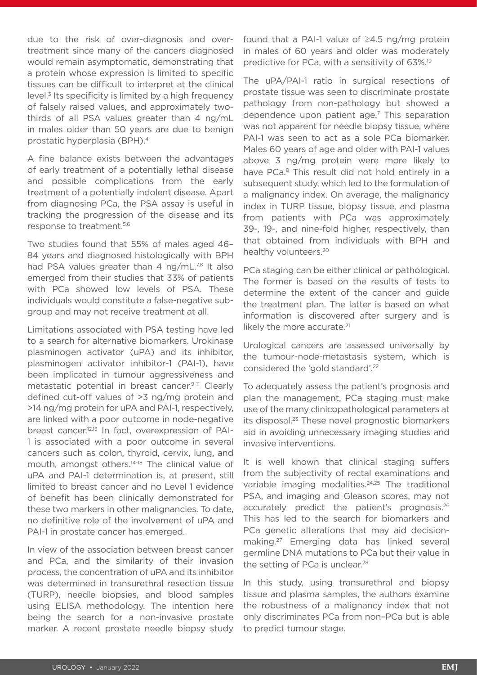due to the risk of over-diagnosis and overtreatment since many of the cancers diagnosed would remain asymptomatic, demonstrating that a protein whose expression is limited to specific tissues can be difficult to interpret at the clinical level.<sup>3</sup> Its specificity is limited by a high frequency of falsely raised values, and approximately twothirds of all PSA values greater than 4 ng/mL in males older than 50 years are due to benign prostatic hyperplasia (BPH).4

A fine balance exists between the advantages of early treatment of a potentially lethal disease and possible complications from the early treatment of a potentially indolent disease. Apart from diagnosing PCa, the PSA assay is useful in tracking the progression of the disease and its response to treatment.5,6

Two studies found that 55% of males aged 46– 84 years and diagnosed histologically with BPH had PSA values greater than 4 ng/mL.7,8 It also emerged from their studies that 33% of patients with PCa showed low levels of PSA. These individuals would constitute a false-negative subgroup and may not receive treatment at all.

Limitations associated with PSA testing have led to a search for alternative biomarkers. Urokinase plasminogen activator (uPA) and its inhibitor, plasminogen activator inhibitor-1 (PAI-1), have been implicated in tumour aggressiveness and metastatic potential in breast cancer.<sup>9-11</sup> Clearly defined cut-off values of >3 ng/mg protein and >14 ng/mg protein for uPA and PAI-1, respectively, are linked with a poor outcome in node-negative breast cancer.12,13 In fact, overexpression of PAI-1 is associated with a poor outcome in several cancers such as colon, thyroid, cervix, lung, and mouth, amongst others.14-18 The clinical value of uPA and PAI-1 determination is, at present, still limited to breast cancer and no Level 1 evidence of benefit has been clinically demonstrated for these two markers in other malignancies. To date, no definitive role of the involvement of uPA and PAI-1 in prostate cancer has emerged.

In view of the association between breast cancer and PCa, and the similarity of their invasion process, the concentration of uPA and its inhibitor was determined in transurethral resection tissue (TURP), needle biopsies, and blood samples using ELISA methodology. The intention here being the search for a non-invasive prostate marker. A recent prostate needle biopsy study found that a PAI-1 value of ≥4.5 ng/mg protein in males of 60 years and older was moderately predictive for PCa, with a sensitivity of 63%.19

The uPA/PAI-1 ratio in surgical resections of prostate tissue was seen to discriminate prostate pathology from non-pathology but showed a dependence upon patient age.7 This separation was not apparent for needle biopsy tissue, where PAI-1 was seen to act as a sole PCa biomarker. Males 60 years of age and older with PAI-1 values above 3 ng/mg protein were more likely to have PCa.<sup>8</sup> This result did not hold entirely in a subsequent study, which led to the formulation of a malignancy index. On average, the malignancy index in TURP tissue, biopsy tissue, and plasma from patients with PCa was approximately 39-, 19-, and nine-fold higher, respectively, than that obtained from individuals with BPH and healthy volunteers.20

PCa staging can be either clinical or pathological. The former is based on the results of tests to determine the extent of the cancer and guide the treatment plan. The latter is based on what information is discovered after surgery and is likely the more accurate.<sup>21</sup>

Urological cancers are assessed universally by the tumour-node-metastasis system, which is considered the 'gold standard'.22

To adequately assess the patient's prognosis and plan the management, PCa staging must make use of the many clinicopathological parameters at its disposal.<sup>23</sup> These novel prognostic biomarkers aid in avoiding unnecessary imaging studies and invasive interventions.

It is well known that clinical staging suffers from the subjectivity of rectal examinations and variable imaging modalities.<sup>24,25</sup> The traditional PSA, and imaging and Gleason scores, may not accurately predict the patient's prognosis.26 This has led to the search for biomarkers and PCa genetic alterations that may aid decisionmaking.27 Emerging data has linked several germline DNA mutations to PCa but their value in the setting of PCa is unclear.<sup>28</sup>

In this study, using transurethral and biopsy tissue and plasma samples, the authors examine the robustness of a malignancy index that not only discriminates PCa from non–PCa but is able to predict tumour stage.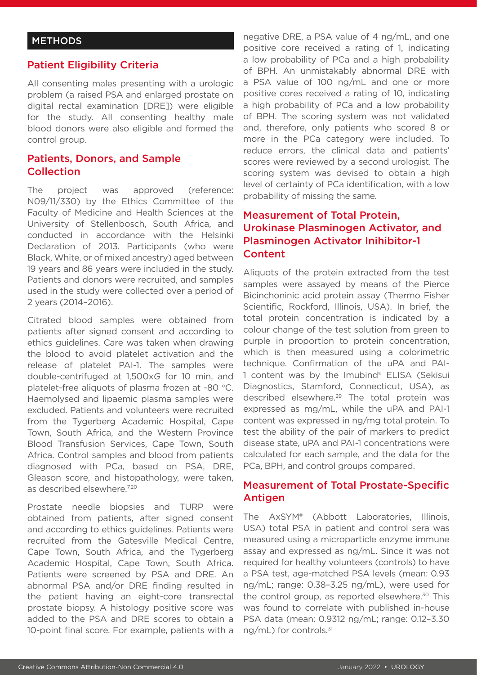#### **METHODS**

### Patient Eligibility Criteria

All consenting males presenting with a urologic problem (a raised PSA and enlarged prostate on digital rectal examination [DRE]) were eligible for the study. All consenting healthy male blood donors were also eligible and formed the control group.

#### Patients, Donors, and Sample Collection

The project was approved (reference: N09/11/330) by the Ethics Committee of the Faculty of Medicine and Health Sciences at the University of Stellenbosch, South Africa, and conducted in accordance with the Helsinki Declaration of 2013. Participants (who were Black, White, or of mixed ancestry) aged between 19 years and 86 years were included in the study. Patients and donors were recruited, and samples used in the study were collected over a period of 2 years (2014–2016).

Citrated blood samples were obtained from patients after signed consent and according to ethics guidelines. Care was taken when drawing the blood to avoid platelet activation and the release of platelet PAI-1. The samples were double-centrifuged at 1,500x*G* for 10 min, and platelet-free aliquots of plasma frozen at -80 °C. Haemolysed and lipaemic plasma samples were excluded. Patients and volunteers were recruited from the Tygerberg Academic Hospital, Cape Town, South Africa, and the Western Province Blood Transfusion Services, Cape Town, South Africa. Control samples and blood from patients diagnosed with PCa, based on PSA, DRE, Gleason score, and histopathology, were taken, as described elsewhere.7,20

Prostate needle biopsies and TURP were obtained from patients, after signed consent and according to ethics guidelines. Patients were recruited from the Gatesville Medical Centre, Cape Town, South Africa, and the Tygerberg Academic Hospital, Cape Town, South Africa. Patients were screened by PSA and DRE. An abnormal PSA and/or DRE finding resulted in the patient having an eight-core transrectal prostate biopsy. A histology positive score was added to the PSA and DRE scores to obtain a 10-point final score. For example, patients with a

negative DRE, a PSA value of 4 ng/mL, and one positive core received a rating of 1, indicating a low probability of PCa and a high probability of BPH. An unmistakably abnormal DRE with a PSA value of 100 ng/mL and one or more positive cores received a rating of 10, indicating a high probability of PCa and a low probability of BPH. The scoring system was not validated and, therefore, only patients who scored 8 or more in the PCa category were included. To reduce errors, the clinical data and patients' scores were reviewed by a second urologist. The scoring system was devised to obtain a high level of certainty of PCa identification, with a low probability of missing the same.

## Measurement of Total Protein, Urokinase Plasminogen Activator, and Plasminogen Activator Inihibitor-1 Content

Aliquots of the protein extracted from the test samples were assayed by means of the Pierce Bicinchoninic acid protein assay (Thermo Fisher Scientific, Rockford, Illinois, USA). In brief, the total protein concentration is indicated by a colour change of the test solution from green to purple in proportion to protein concentration, which is then measured using a colorimetric technique. Confirmation of the uPA and PAI-1 content was by the Imubind® ELISA (Sekisui Diagnostics, Stamford, Connecticut, USA), as described elsewhere.<sup>29</sup> The total protein was expressed as mg/mL, while the uPA and PAI-1 content was expressed in ng/mg total protein. To test the ability of the pair of markers to predict disease state, uPA and PAI-1 concentrations were calculated for each sample, and the data for the PCa, BPH, and control groups compared.

## Measurement of Total Prostate-Specific Antigen

The AxSYM® (Abbott Laboratories, Illinois, USA) total PSA in patient and control sera was measured using a microparticle enzyme immune assay and expressed as ng/mL. Since it was not required for healthy volunteers (controls) to have a PSA test, age-matched PSA levels (mean: 0.93 ng/mL; range: 0.38–3.25 ng/mL), were used for the control group, as reported elsewhere.<sup>30</sup> This was found to correlate with published in-house PSA data (mean: 0.9312 ng/mL; range: 0.12–3.30 ng/mL) for controls.31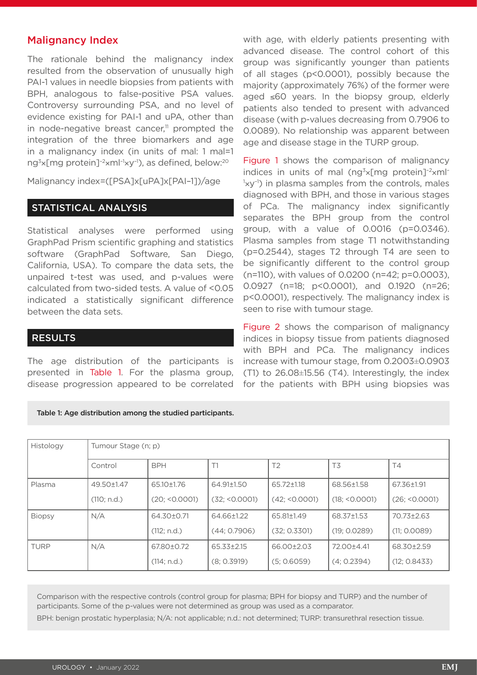#### Malignancy Index

The rationale behind the malignancy index resulted from the observation of unusually high PAI-1 values in needle biopsies from patients with BPH, analogous to false-positive PSA values. Controversy surrounding PSA, and no level of evidence existing for PAI-1 and uPA, other than in node-negative breast cancer, $\mathbb{I}^1$  prompted the integration of the three biomarkers and age in a malignancy index (in units of mal: 1 mal=1 ng<sup>3</sup>×[mg protein]<sup>-2</sup>×m $|^{-1}$ ×y<sup>-1</sup>), as defined, below:<sup>20</sup>

Malignancy index=([PSA]x[uPA]x[PAI–1])/age

## STATISTICAL ANALYSIS

Statistical analyses were performed using GraphPad Prism scientific graphing and statistics software (GraphPad Software, San Diego, California, USA). To compare the data sets, the unpaired t-test was used, and p-values were calculated from two-sided tests. A value of <0.05 indicated a statistically significant difference between the data sets.

#### RESULTS

The age distribution of the participants is presented in Table 1. For the plasma group, disease progression appeared to be correlated

Table 1: Age distribution among the studied participants.

with age, with elderly patients presenting with advanced disease. The control cohort of this group was significantly younger than patients of all stages (p<0.0001), possibly because the majority (approximately 76%) of the former were aged ≤60 years. In the biopsy group, elderly patients also tended to present with advanced disease (with p-values decreasing from 0.7906 to 0.0089). No relationship was apparent between age and disease stage in the TURP group.

Figure 1 shows the comparison of malignancy indices in units of mal (ng<sup>3</sup>×[mg protein] $^{-2}$ ×ml<sup>-</sup> <sup>1</sup>xy<sup>-1</sup>) in plasma samples from the controls, males diagnosed with BPH, and those in various stages of PCa. The malignancy index significantly separates the BPH group from the control group, with a value of 0.0016 (p=0.0346). Plasma samples from stage T1 notwithstanding (p=0.2544), stages T2 through T4 are seen to be significantly different to the control group (n=110), with values of 0.0200 (n=42; p=0.0003), 0.0927 (n=18; p<0.0001), and 0.1920 (n=26; p<0.0001), respectively. The malignancy index is seen to rise with tumour stage.

Figure 2 shows the comparison of malignancy indices in biopsy tissue from patients diagnosed with BPH and PCa. The malignancy indices increase with tumour stage, from 0.2003±0.0903 (T1) to 26.08±15.56 (T4). Interestingly, the index for the patients with BPH using biopsies was

| Histology     | Tumour Stage (n; p) |               |               |                |                |               |  |  |
|---------------|---------------------|---------------|---------------|----------------|----------------|---------------|--|--|
|               |                     |               |               |                |                |               |  |  |
|               | Control             | <b>BPH</b>    | T1            | T <sub>2</sub> | T3             | T4            |  |  |
|               |                     |               |               |                |                |               |  |  |
| Plasma        | 49.50±1.47          | 65.10±1.76    | 64.91±1.50    | 65.72±1.18     | 68.56±1.58     | 67.36±1.91    |  |  |
|               | (110; n.d.)         | (20; 50.0001) | (32; <0.0001) | (42; 50.0001)  | (18; < 0.0001) | (26; 50.0001) |  |  |
| <b>Biopsy</b> | N/A                 | 64.30±0.71    | 64.66±1.22    | 65.81±1.49     | 68.37±1.53     | 70.73±2.63    |  |  |
|               |                     | (112; n.d.)   | (44; 0.7906)  | (32; 0.3301)   | (19; 0.0289)   | (11; 0.0089)  |  |  |
| <b>TURP</b>   | N/A                 | 67.80±0.72    | 65.33±2.15    | 66.00±2.03     | 72.00±4.41     | 68.30±2.59    |  |  |
|               |                     | (114; n.d.)   | (8; 0.3919)   | (5; 0.6059)    | (4; 0.2394)    | (12; 0.8433)  |  |  |

Comparison with the respective controls (control group for plasma; BPH for biopsy and TURP) and the number of participants. Some of the p-values were not determined as group was used as a comparator.

BPH: benign prostatic hyperplasia; N/A: not applicable; n.d.: not determined; TURP: transurethral resection tissue.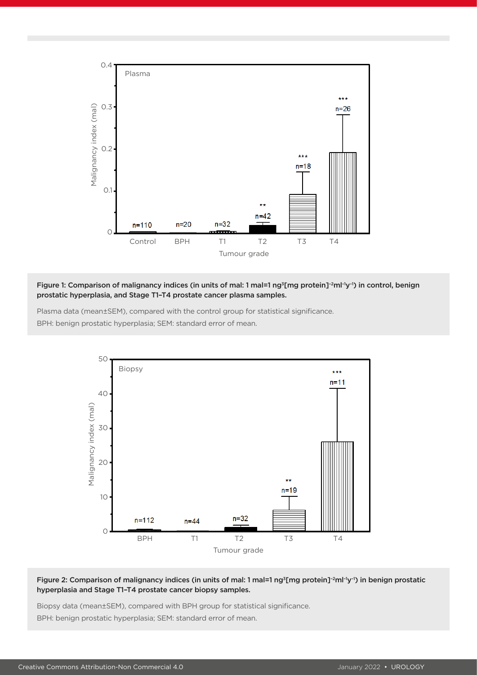

#### Figure 1: Comparison of malignancy indices (in units of mal: 1 mal=1 ng<sup>3</sup>[mg protein]<sup>-2</sup>ml<sup>-1</sup>y<sup>-1</sup>) in control, benign prostatic hyperplasia, and Stage T1–T4 prostate cancer plasma samples.

Plasma data (mean±SEM), compared with the control group for statistical significance. BPH: benign prostatic hyperplasia; SEM: standard error of mean.



#### Figure 2: Comparison of malignancy indices (in units of mal: 1 mal=1 ng<sup>3</sup>[mg protein]<sup>-2</sup>ml<sup>-1</sup>y<sup>-1</sup>) in benign prostatic hyperplasia and Stage T1–T4 prostate cancer biopsy samples.

Biopsy data (mean±SEM), compared with BPH group for statistical significance. BPH: benign prostatic hyperplasia; SEM: standard error of mean.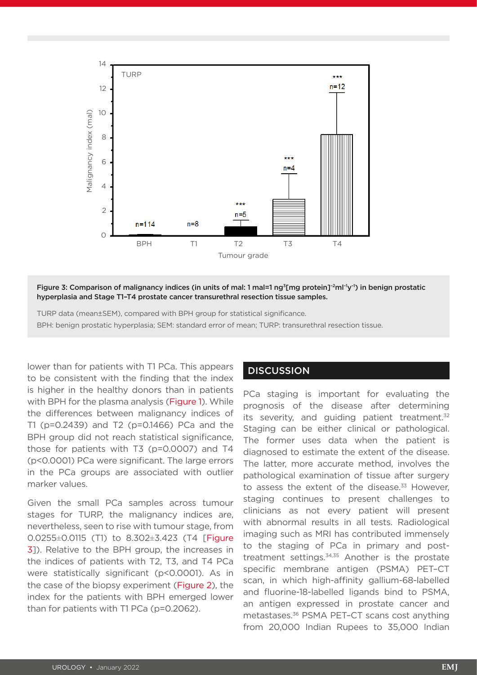

Figure 3: Comparison of malignancy indices (in units of mal: 1 mal=1 ng3[mg protein]–2ml–1y–1) in benign prostatic hyperplasia and Stage T1–T4 prostate cancer transurethral resection tissue samples.

TURP data (mean±SEM), compared with BPH group for statistical significance. BPH: benign prostatic hyperplasia; SEM: standard error of mean; TURP: transurethral resection tissue.

lower than for patients with T1 PCa. This appears to be consistent with the finding that the index is higher in the healthy donors than in patients with BPH for the plasma analysis (Figure 1). While the differences between malignancy indices of T1 (p=0.2439) and T2 (p=0.1466) PCa and the BPH group did not reach statistical significance, those for patients with T3 (p=0.0007) and T4 (p<0.0001) PCa were significant. The large errors in the PCa groups are associated with outlier marker values.

Given the small PCa samples across tumour stages for TURP, the malignancy indices are, nevertheless, seen to rise with tumour stage, from 0.0255±0.0115 (T1) to 8.302±3.423 (T4 [Figure 3]). Relative to the BPH group, the increases in the indices of patients with T2, T3, and T4 PCa were statistically significant (p<0.0001). As in the case of the biopsy experiment (Figure 2), the index for the patients with BPH emerged lower than for patients with T1 PCa (p=0.2062).

#### **DISCUSSION**

PCa staging is important for evaluating the prognosis of the disease after determining its severity, and quiding patient treatment. $32$ Staging can be either clinical or pathological. The former uses data when the patient is diagnosed to estimate the extent of the disease. The latter, more accurate method, involves the pathological examination of tissue after surgery to assess the extent of the disease. $33$  However, staging continues to present challenges to clinicians as not every patient will present with abnormal results in all tests. Radiological imaging such as MRI has contributed immensely to the staging of PCa in primary and posttreatment settings.<sup>34,35</sup> Another is the prostate specific membrane antigen (PSMA) PET–CT scan, in which high-affinity gallium-68-labelled and fluorine-18-labelled ligands bind to PSMA, an antigen expressed in prostate cancer and metastases.36 PSMA PET–CT scans cost anything from 20,000 Indian Rupees to 35,000 Indian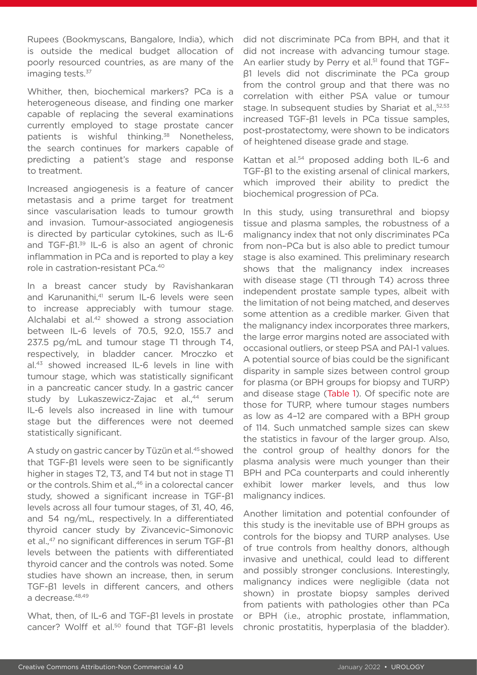Rupees (Bookmyscans, Bangalore, India), which is outside the medical budget allocation of poorly resourced countries, as are many of the imaging tests.<sup>37</sup>

Whither, then, biochemical markers? PCa is a heterogeneous disease, and finding one marker capable of replacing the several examinations currently employed to stage prostate cancer patients is wishful thinking.<sup>38</sup> Nonetheless, the search continues for markers capable of predicting a patient's stage and response to treatment.

Increased angiogenesis is a feature of cancer metastasis and a prime target for treatment since vascularisation leads to tumour growth and invasion. Tumour-associated angiogenesis is directed by particular cytokines, such as IL-6 and TGF-β1.39 IL-6 is also an agent of chronic inflammation in PCa and is reported to play a key role in castration-resistant PCa.40

In a breast cancer study by Ravishankaran and Karunanithi,<sup>41</sup> serum IL-6 levels were seen to increase appreciably with tumour stage. Alchalabi et al.<sup>42</sup> showed a strong association between IL-6 levels of 70.5, 92.0, 155.7 and 237.5 pg/mL and tumour stage T1 through T4, respectively, in bladder cancer. Mroczko et al.43 showed increased IL-6 levels in line with tumour stage, which was statistically significant in a pancreatic cancer study. In a gastric cancer study by Lukaszewicz-Zajac et al.,<sup>44</sup> serum IL-6 levels also increased in line with tumour stage but the differences were not deemed statistically significant.

A study on gastric cancer by Tüzün et al.<sup>45</sup> showed that TGF-β1 levels were seen to be significantly higher in stages T2, T3, and T4 but not in stage T1 or the controls. Shim et al.,<sup>46</sup> in a colorectal cancer study, showed a significant increase in TGF-β1 levels across all four tumour stages, of 31, 40, 46, and 54 ng/mL, respectively. In a differentiated thyroid cancer study by Zivancevic–Simonovic et al.,<sup>47</sup> no significant differences in serum TGF-β1 levels between the patients with differentiated thyroid cancer and the controls was noted. Some studies have shown an increase, then, in serum TGF-β1 levels in different cancers, and others a decrease. 48,49

What, then, of IL-6 and TGF-β1 levels in prostate cancer? Wolff et al.<sup>50</sup> found that TGF-β1 levels did not discriminate PCa from BPH, and that it did not increase with advancing tumour stage. An earlier study by Perry et al.<sup>51</sup> found that TGFβ1 levels did not discriminate the PCa group from the control group and that there was no correlation with either PSA value or tumour stage. In subsequent studies by Shariat et al.,<sup>52,53</sup> increased TGF-β1 levels in PCa tissue samples, post-prostatectomy, were shown to be indicators of heightened disease grade and stage.

Kattan et al.<sup>54</sup> proposed adding both IL-6 and TGF-β1 to the existing arsenal of clinical markers, which improved their ability to predict the biochemical progression of PCa.

In this study, using transurethral and biopsy tissue and plasma samples, the robustness of a malignancy index that not only discriminates PCa from non–PCa but is also able to predict tumour stage is also examined. This preliminary research shows that the malignancy index increases with disease stage (T1 through T4) across three independent prostate sample types, albeit with the limitation of not being matched, and deserves some attention as a credible marker. Given that the malignancy index incorporates three markers, the large error margins noted are associated with occasional outliers, or steep PSA and PAI-1 values. A potential source of bias could be the significant disparity in sample sizes between control group for plasma (or BPH groups for biopsy and TURP) and disease stage (Table 1). Of specific note are those for TURP, where tumour stages numbers as low as 4–12 are compared with a BPH group of 114. Such unmatched sample sizes can skew the statistics in favour of the larger group. Also, the control group of healthy donors for the plasma analysis were much younger than their BPH and PCa counterparts and could inherently exhibit lower marker levels, and thus low malignancy indices.

Another limitation and potential confounder of this study is the inevitable use of BPH groups as controls for the biopsy and TURP analyses. Use of true controls from healthy donors, although invasive and unethical, could lead to different and possibly stronger conclusions. Interestingly, malignancy indices were negligible (data not shown) in prostate biopsy samples derived from patients with pathologies other than PCa or BPH (i.e., atrophic prostate, inflammation, chronic prostatitis, hyperplasia of the bladder).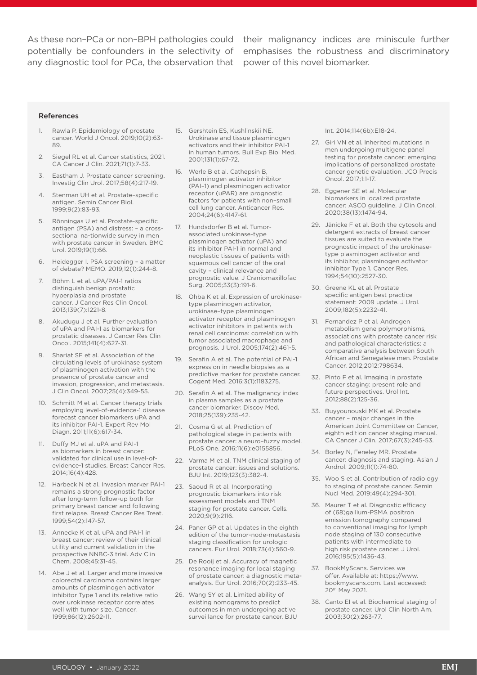any diagnostic tool for PCa, the observation that power of this novel biomarker.

As these non-PCa or non-BPH pathologies could their malignancy indices are miniscule further potentially be confounders in the selectivity of emphasises the robustness and discriminatory

#### References

- 1. Rawla P. Epidemiology of prostate cancer. World J Oncol. 2019;10(2):63- 89.
- 2. Siegel RL et al. Cancer statistics, 2021. CA Cancer J Clin. 2021;71(1):7-33.
- 3. Eastham J. Prostate cancer screening. Investig Clin Urol. 2017;58(4):217-19.
- 4. Stenman UH et al. Prostate–specific antigen. Semin Cancer Biol. 1999;9(2):83-93.
- 5. Rönningas U et al. Prostate-specific antigen (PSA) and distress: – a crosssectional na-tionwide survey in men with prostate cancer in Sweden. BMC Urol. 2019;19(1):66.
- 6. Heidegger I. PSA screening a matter of debate? MEMO. 2019;12(1):244-8.
- 7. Böhm L et al. uPA/PAI-1 ratios distinguish benign prostatic hyperplasia and prostate cancer. J Cancer Res Clin Oncol. 2013;139(7):1221-8.
- Akudugu J et al. Further evaluation of uPA and PAI-1 as biomarkers for prostatic diseases. J Cancer Res Clin Oncol. 2015;141(4):627-31.
- 9. Shariat SF et al. Association of the circulating levels of urokinase system of plasminogen activation with the presence of prostate cancer and invasion, progression, and metastasis. J Clin Oncol. 2007;25(4):349-55.
- 10. Schmitt M et al. Cancer therapy trials employing level-of-evidence-1 disease forecast cancer biomarkers uPA and its inhibitor PAI-1. Expert Rev Mol Diagn. 2011;11(6):617-34.
- 11. Duffy MJ et al. uPA and PAI-1 as biomarkers in breast cancer: validated for clinical use in level-ofevidence-1 studies. Breast Cancer Res. 2014;16(4):428.
- 12. Harbeck N et al. Invasion marker PAI-1 remains a strong prognostic factor after long-term follow-up both for primary breast cancer and following first relapse. Breast Cancer Res Treat. 1999;54(2):147-57.
- 13. Annecke K et al. uPA and PAI-1 in breast cancer: review of their clinical utility and current validation in the prospective NNBC-3 trial. Adv Clin Chem. 2008;45:31-45.
- 14. Abe J et al. Larger and more invasive colorectal carcinoma contains larger amounts of plasminogen activator inhibitor Type 1 and its relative ratio over urokinase receptor correlates well with tumor size. Cancer. 1999;86(12):2602-11.
- 15. Gershtein ES, Kushlinskii NE. Urokinase and tissue plasminogen activators and their inhibitor PAI-1 in human tumors. Bull Exp Biol Med. 2001;131(1):67-72.
- 16. Werle B et al. Cathepsin B, plasminogen activator inhibitor (PAI–1) and plasminogen activator receptor (uPAR) are prognostic factors for patients with non–small cell lung cancer. Anticancer Res. 2004;24(6):4147-61.
- 17. Hundsdorfer B et al. Tumorassociated urokinase-type plasminogen activator (uPA) and its inhibitor PAI-1 in normal and neoplastic tissues of patients with squamous cell cancer of the oral cavity – clinical relevance and prognostic value. J Craniomaxillofac Surg. 2005;33(3):191-6.
- 18. Ohba K et al. Expression of urokinasetype plasminogen activator, urokinase–type plasminogen activator receptor and plasminogen activator inhibitors in patients with renal cell carcinoma: correlation with tumor associated macrophage and prognosis. J Urol. 2005;174(2):461-5.
- 19. Serafin A et al. The potential of PAI-1 expression in needle biopsies as a predictive marker for prostate cancer. Cogent Med. 2016;3(1):1183275.
- 20. Serafin A et al. The malignancy index in plasma samples as a prostate cancer biomarker. Discov Med. 2018;25(139):235-42.
- 21. Cosma G et al. Prediction of pathological stage in patients with prostate cancer: a neuro–fuzzy model. PLoS One. 2016;11(6):e0155856.
- 22. Varma M et al. TNM clinical staging of prostate cancer: issues and solutions. BJU Int. 2019;123(3):382-4.
- 23. Saoud R et al. Incorporating prognostic biomarkers into risk assessment models and TNM staging for prostate cancer. Cells. 2020;9(9):2116.
- 24. Paner GP et al. Updates in the eighth edition of the tumor-node-metastasis staging classification for urologic cancers. Eur Urol. 2018;73(4):560-9.
- 25. De Rooij et al. Accuracy of magnetic resonance imaging for local staging of prostate cancer: a diagnostic metaanalysis. Eur Urol. 2016;70(2):233-45.
- 26. Wang SY et al. Limited ability of existing nomograms to predict outcomes in men undergoing active surveillance for prostate cancer. BJU

Int. 2014;114(6b):E18-24.

- 27. Giri VN et al. Inherited mutations in men undergoing multigene panel testing for prostate cancer: emerging implications of personalized prostate cancer genetic evaluation. JCO Precis Oncol. 2017;1:1-17.
- 28. Eggener SE et al. Molecular biomarkers in localized prostate cancer: ASCO guideline. J Clin Oncol. 2020;38(13):1474-94.
- 29. Jänicke F et al. Both the cytosols and detergent extracts of breast cancer tissues are suited to evaluate the prognostic impact of the urokinasetype plasminogen activator and its inhibitor, plasminogen activator inhibitor Type 1. Cancer Res. 1994;54(10):2527-30.
- 30. Greene KL et al. Prostate specific antigen best practice statement: 2009 update. J Urol. 2009;182(5):2232-41.
- 31. Fernandez P et al. Androgen metabolism gene polymorphisms, associations with prostate cancer risk and pathological characteristics: a comparative analysis between South African and Senegalese men. Prostate Cancer. 2012;2012:798634.
- 32. Pinto F et al. Imaging in prostate cancer staging: present role and future perspectives. Urol Int. 2012;88(2):125-36.
- 33. Buyyounouski MK et al. Prostate cancer – major changes in the American Joint Committee on Cancer, eighth edition cancer staging manual. CA Cancer J Clin. 2017;67(3):245-53.
- 34. Borley N, Feneley MR. Prostate cancer: diagnosis and staging. Asian J Androl. 2009;11(1):74-80.
- 35. Woo S et al. Contribution of radiology to staging of prostate cancer. Semin Nucl Med. 2019;49(4):294-301.
- 36. Maurer T et al. Diagnostic efficacy of (68)gallium-PSMA positron emission tomography compared to conventional imaging for lymph node staging of 130 consecutive patients with intermediate to high risk prostate cancer. J Urol. 2016;195(5):1436-43.
- 37. BookMyScans. Services we offer. Available at: https://www. bookmyscans.com. Last accessed: 20th May 2021.
- 38. Canto EI et al. Biochemical staging of prostate cancer. Urol Clin North Am. 2003;30(2):263-77.